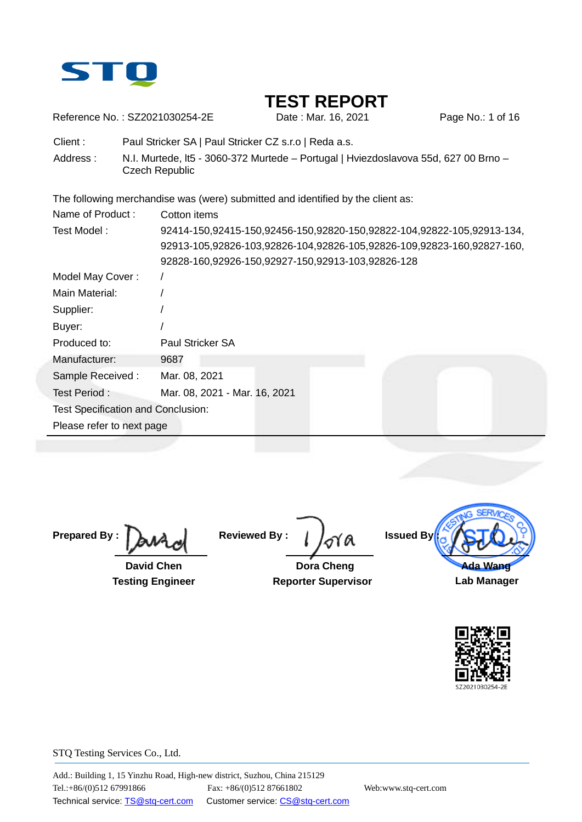

Reference No.: SZ2021030254-2E Date : Mar. 16, 2021 Page No.: 1 of 16

Client : Paul Stricker SA | Paul Stricker CZ s.r.o | Reda a.s.

Address : N.I. Murtede, It5 - 3060-372 Murtede – Portugal | Hviezdoslavova 55d, 627 00 Brno – Czech Republic

The following merchandise was (were) submitted and identified by the client as:

| Name of Product:                          | Cotton items                                                           |  |  |  |  |  |
|-------------------------------------------|------------------------------------------------------------------------|--|--|--|--|--|
| Test Model:                               | 92414-150,92415-150,92456-150,92820-150,92822-104,92822-105,92913-134, |  |  |  |  |  |
|                                           | 92913-105,92826-103,92826-104,92826-105,92826-109,92823-160,92827-160, |  |  |  |  |  |
|                                           | 92828-160,92926-150,92927-150,92913-103,92826-128                      |  |  |  |  |  |
| Model May Cover:                          |                                                                        |  |  |  |  |  |
| Main Material:                            |                                                                        |  |  |  |  |  |
| Supplier:                                 |                                                                        |  |  |  |  |  |
| Buyer:                                    |                                                                        |  |  |  |  |  |
| Produced to:                              | Paul Stricker SA                                                       |  |  |  |  |  |
| Manufacturer:                             | 9687                                                                   |  |  |  |  |  |
| Sample Received:                          | Mar. 08, 2021                                                          |  |  |  |  |  |
| Test Period:                              | Mar. 08, 2021 - Mar. 16, 2021                                          |  |  |  |  |  |
| <b>Test Specification and Conclusion:</b> |                                                                        |  |  |  |  |  |
| Please refer to next page                 |                                                                        |  |  |  |  |  |
|                                           |                                                                        |  |  |  |  |  |

**Prepared By :**

 **David Chen Testing Engineer**

**Reviewed By :**

 **Dora Cheng Reporter Supervisor**



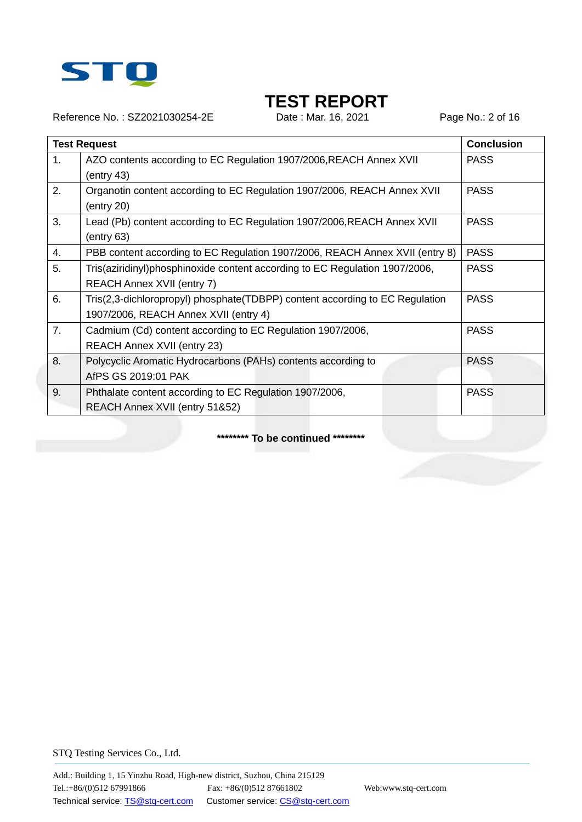

Reference No.: SZ2021030254-2E Date : Mar. 16, 2021 Page No.: 2 of 16

|                  | <b>Test Request</b>                                                          | <b>Conclusion</b> |
|------------------|------------------------------------------------------------------------------|-------------------|
| 1.               | AZO contents according to EC Regulation 1907/2006, REACH Annex XVII          | <b>PASS</b>       |
|                  | (entry 43)                                                                   |                   |
| 2.               | Organotin content according to EC Regulation 1907/2006, REACH Annex XVII     | <b>PASS</b>       |
|                  | (entry 20)                                                                   |                   |
| 3.               | Lead (Pb) content according to EC Regulation 1907/2006, REACH Annex XVII     | <b>PASS</b>       |
|                  | (entry 63)                                                                   |                   |
| $\overline{4}$ . | PBB content according to EC Regulation 1907/2006, REACH Annex XVII (entry 8) | <b>PASS</b>       |
| 5.               | Tris(aziridinyl)phosphinoxide content according to EC Regulation 1907/2006,  | <b>PASS</b>       |
|                  | REACH Annex XVII (entry 7)                                                   |                   |
| 6.               | Tris(2,3-dichloropropyl) phosphate(TDBPP) content according to EC Regulation | <b>PASS</b>       |
|                  | 1907/2006, REACH Annex XVII (entry 4)                                        |                   |
| 7.               | Cadmium (Cd) content according to EC Regulation 1907/2006,                   | <b>PASS</b>       |
|                  | <b>REACH Annex XVII (entry 23)</b>                                           |                   |
| 8.               | Polycyclic Aromatic Hydrocarbons (PAHs) contents according to                | <b>PASS</b>       |
|                  | AfPS GS 2019:01 PAK                                                          |                   |
| 9.               | Phthalate content according to EC Regulation 1907/2006,                      | <b>PASS</b>       |
|                  | REACH Annex XVII (entry 51&52)                                               |                   |

**\*\*\*\*\*\*\*\* To be continued \*\*\*\*\*\*\*\***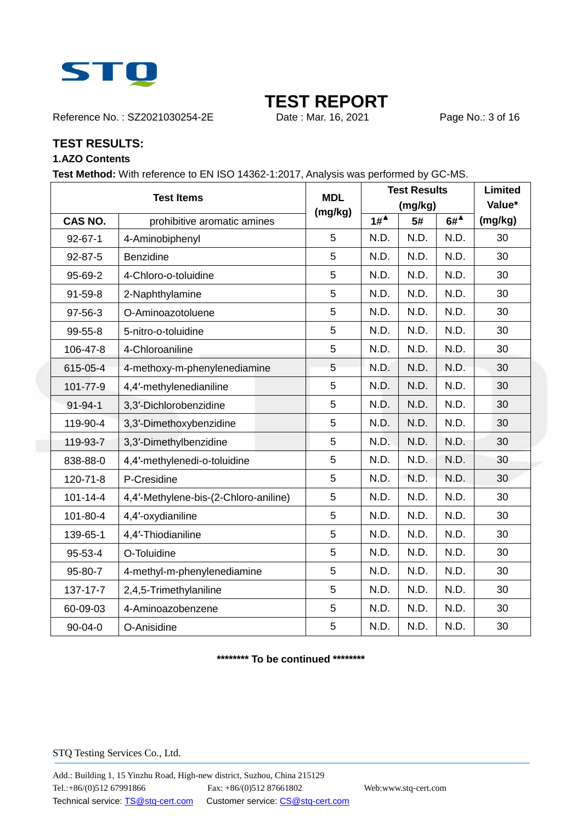

Reference No.: SZ2021030254-2E Date : Mar. 16, 2021 Page No.: 3 of 16

### **TEST RESULTS:**

### **1.AZO Contents**

**Test Method:** With reference to EN ISO 14362-1:2017, Analysis was performed by GC-MS.

| <b>Test Items</b> |                                       | <b>MDL</b> | <b>Test Results</b> | Limited |                       |         |
|-------------------|---------------------------------------|------------|---------------------|---------|-----------------------|---------|
|                   |                                       | (mg/kg)    | (mg/kg)             |         |                       | Value*  |
| CAS NO.           | prohibitive aromatic amines           |            | $1#^4$              | 5#      | $6#^{\blacktriangle}$ | (mg/kg) |
| $92 - 67 - 1$     | 4-Aminobiphenyl                       | 5          | N.D.                | N.D.    | N.D.                  | 30      |
| $92 - 87 - 5$     | Benzidine                             | 5          | N.D.                | N.D.    | N.D.                  | 30      |
| 95-69-2           | 4-Chloro-o-toluidine                  | 5          | N.D.                | N.D.    | N.D.                  | 30      |
| 91-59-8           | 2-Naphthylamine                       | 5          | N.D.                | N.D.    | N.D.                  | 30      |
| 97-56-3           | O-Aminoazotoluene                     | 5          | N.D.                | N.D.    | N.D.                  | 30      |
| 99-55-8           | 5-nitro-o-toluidine                   | 5          | N.D.                | N.D.    | N.D.                  | 30      |
| 106-47-8          | 4-Chloroaniline                       | 5          | N.D.                | N.D.    | N.D.                  | 30      |
| 615-05-4          | 4-methoxy-m-phenylenediamine          | 5          | N.D.                | N.D.    | N.D.                  | 30      |
| 101-77-9          | 4,4'-methylenedianiline               | 5          | N.D.                | N.D.    | N.D.                  | 30      |
| $91 - 94 - 1$     | 3,3'-Dichlorobenzidine                | 5          | N.D.                | N.D.    | N.D.                  | 30      |
| 119-90-4          | 3,3'-Dimethoxybenzidine               | 5          | N.D.                | N.D.    | N.D.                  | 30      |
| 119-93-7          | 3,3'-Dimethylbenzidine                | 5          | N.D.                | N.D.    | N.D.                  | 30      |
| 838-88-0          | 4,4'-methylenedi-o-toluidine          | 5          | N.D.                | N.D.    | N.D.                  | 30      |
| 120-71-8          | P-Cresidine                           | 5          | N.D.                | N.D.    | N.D.                  | 30      |
| $101 - 14 - 4$    | 4,4'-Methylene-bis-(2-Chloro-aniline) | 5          | N.D.                | N.D.    | N.D.                  | 30      |
| 101-80-4          | 4,4'-oxydianiline                     | 5          | N.D.                | N.D.    | N.D.                  | 30      |
| 139-65-1          | 4,4'-Thiodianiline                    | 5          | N.D.                | N.D.    | N.D.                  | 30      |
| $95 - 53 - 4$     | O-Toluidine                           | 5          | N.D.                | N.D.    | N.D.                  | 30      |
| 95-80-7           | 4-methyl-m-phenylenediamine           | 5          | N.D.                | N.D.    | N.D.                  | 30      |
| 137-17-7          | 2,4,5-Trimethylaniline                | 5          | N.D.                | N.D.    | N.D.                  | 30      |
| 60-09-03          | 4-Aminoazobenzene                     | 5          | N.D.                | N.D.    | N.D.                  | 30      |
| 90-04-0           | O-Anisidine                           | 5          | N.D.                | N.D.    | N.D.                  | 30      |

**\*\*\*\*\*\*\*\* To be continued \*\*\*\*\*\*\*\***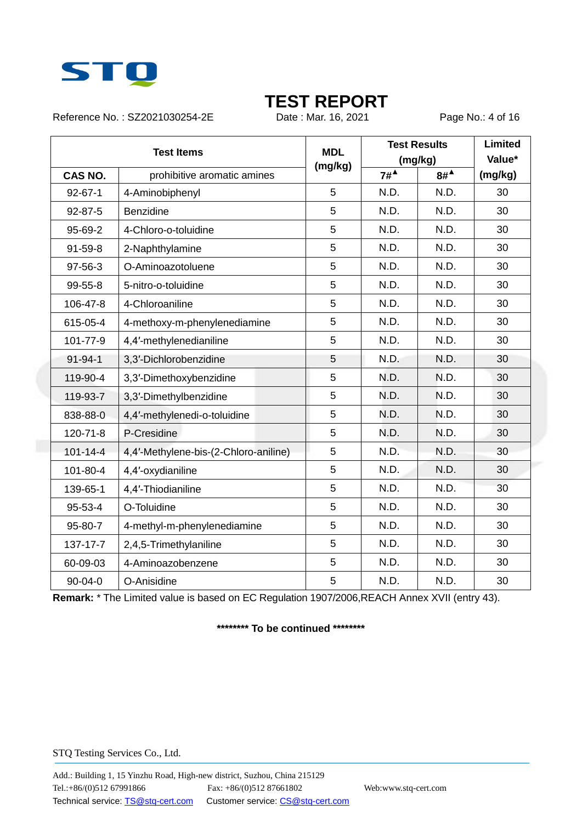

Reference No.: SZ2021030254-2E Date : Mar. 16, 2021 Page No.: 4 of 16

| <b>Test Items</b> |                                       | <b>MDL</b><br>(mg/kg)       | <b>Test Results</b><br>(mg/kg) |       | <b>Limited</b><br>Value* |         |
|-------------------|---------------------------------------|-----------------------------|--------------------------------|-------|--------------------------|---------|
| CAS NO.           |                                       | prohibitive aromatic amines |                                | $7\#$ | $8#^4$                   | (mg/kg) |
| $92 - 67 - 1$     | 4-Aminobiphenyl                       |                             | 5                              | N.D.  | N.D.                     | 30      |
| $92 - 87 - 5$     | Benzidine                             |                             | 5                              | N.D.  | N.D.                     | 30      |
| 95-69-2           | 4-Chloro-o-toluidine                  |                             | 5                              | N.D.  | N.D.                     | 30      |
| $91 - 59 - 8$     | 2-Naphthylamine                       |                             | 5                              | N.D.  | N.D.                     | 30      |
| $97 - 56 - 3$     | O-Aminoazotoluene                     |                             | 5                              | N.D.  | N.D.                     | 30      |
| $99 - 55 - 8$     | 5-nitro-o-toluidine                   |                             | 5                              | N.D.  | N.D.                     | 30      |
| 106-47-8          | 4-Chloroaniline                       |                             | 5                              | N.D.  | N.D.                     | 30      |
| 615-05-4          | 4-methoxy-m-phenylenediamine          |                             | 5                              | N.D.  | N.D.                     | 30      |
| 101-77-9          | 4,4'-methylenedianiline               |                             | 5                              | N.D.  | N.D.                     | 30      |
| $91 - 94 - 1$     | 3,3'-Dichlorobenzidine                |                             | 5                              | N.D.  | N.D.                     | 30      |
| 119-90-4          | 3,3'-Dimethoxybenzidine               |                             | 5                              | N.D.  | N.D.                     | 30      |
| 119-93-7          | 3,3'-Dimethylbenzidine                |                             | 5                              | N.D.  | N.D.                     | 30      |
| 838-88-0          | 4,4'-methylenedi-o-toluidine          |                             | 5                              | N.D.  | N.D.                     | 30      |
| 120-71-8          | P-Cresidine                           |                             | 5                              | N.D.  | N.D.                     | 30      |
| $101 - 14 - 4$    | 4,4'-Methylene-bis-(2-Chloro-aniline) |                             | 5                              | N.D.  | N.D.                     | 30      |
| 101-80-4          | 4,4'-oxydianiline                     |                             | 5                              | N.D.  | N.D.                     | 30      |
| 139-65-1          | 4,4'-Thiodianiline                    |                             | 5                              | N.D.  | N.D.                     | 30      |
| $95 - 53 - 4$     | O-Toluidine                           |                             | 5                              | N.D.  | N.D.                     | 30      |
| 95-80-7           | 4-methyl-m-phenylenediamine           |                             | 5                              | N.D.  | N.D.                     | 30      |
| 137-17-7          | 2,4,5-Trimethylaniline                |                             | 5                              | N.D.  | N.D.                     | 30      |
| 60-09-03          | 4-Aminoazobenzene                     |                             | 5                              | N.D.  | N.D.                     | 30      |
| $90 - 04 - 0$     | O-Anisidine                           |                             | 5                              | N.D.  | N.D.                     | 30      |

**Remark:** \* The Limited value is based on EC Regulation 1907/2006,REACH Annex XVII (entry 43).

### **\*\*\*\*\*\*\*\* To be continued \*\*\*\*\*\*\*\***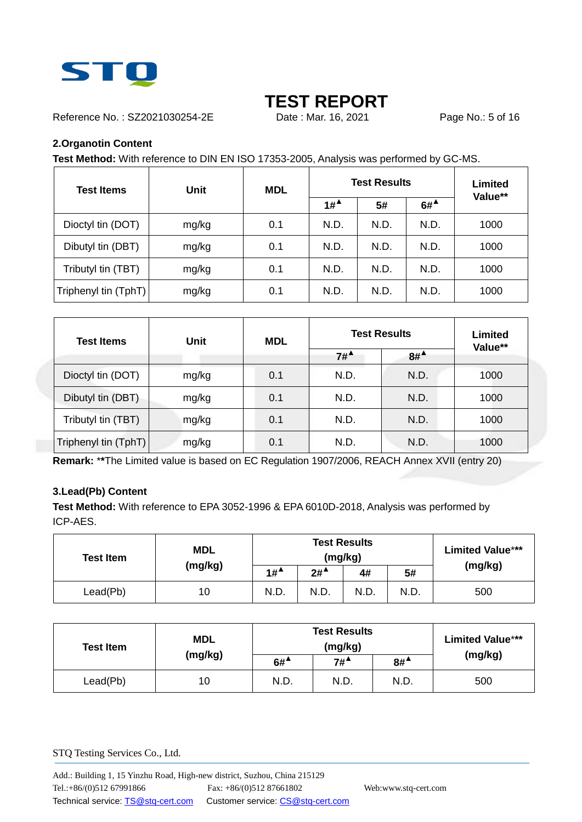

Reference No.: SZ2021030254-2E Date : Mar. 16, 2021 Page No.: 5 of 16

### **2.Organotin Content**

**Test Method:** With reference to DIN EN ISO 17353-2005, Analysis was performed by GC-MS.

| <b>Test Items</b>    | <b>Unit</b> | <b>MDL</b> |                                        | <b>Test Results</b> |                                        |         |  |
|----------------------|-------------|------------|----------------------------------------|---------------------|----------------------------------------|---------|--|
|                      |             |            | $1#$ <sup><math>\triangle</math></sup> | 5#                  | $6#$ <sup><math>\triangle</math></sup> | Value** |  |
| Dioctyl tin (DOT)    | mg/kg       | 0.1        | N.D.                                   | N.D.                | N.D.                                   | 1000    |  |
| Dibutyl tin (DBT)    | mg/kg       | 0.1        | N.D.                                   | N.D.                | N.D.                                   | 1000    |  |
| Tributyl tin (TBT)   | mg/kg       | 0.1        | N.D.                                   | N.D.                | N.D.                                   | 1000    |  |
| Triphenyl tin (TphT) | mg/kg       | 0.1        | N.D.                                   | N.D.                | N.D.                                   | 1000    |  |

| Test Items           | <b>Unit</b> | <b>MDL</b> |        | <b>Test Results</b> | Limited |
|----------------------|-------------|------------|--------|---------------------|---------|
|                      |             |            | $7#^4$ | $8#^4$              | Value** |
| Dioctyl tin (DOT)    | mg/kg       | 0.1        | N.D.   | N.D.                | 1000    |
| Dibutyl tin (DBT)    | mg/kg       | 0.1        | N.D.   | N.D.                | 1000    |
| Tributyl tin (TBT)   | mg/kg       | 0.1        | N.D.   | N.D.                | 1000    |
| Triphenyl tin (TphT) | mg/kg       | 0.1        | N.D.   | N.D.                | 1000    |

**Remark:** \***\***The Limited value is based on EC Regulation 1907/2006, REACH Annex XVII (entry 20)

### **3.Lead(Pb) Content**

**Test Method:** With reference to EPA 3052-1996 & EPA 6010D-2018, Analysis was performed by ICP-AES.

| <b>MDL</b><br><b>Test Item</b> |         |                                        | <b>Test Results</b><br>(mg/kg) | <b>Limited Value***</b> |      |         |
|--------------------------------|---------|----------------------------------------|--------------------------------|-------------------------|------|---------|
|                                | (mg/kg) | $1#$ <sup><math>\triangle</math></sup> | $2#^{\blacktriangle}$          | 4#                      | 5#   | (mg/kg) |
| Lead(Pb)                       | 10      | N.D                                    | N.D.                           | N.D.                    | N.D. | 500     |

| <b>Test Item</b> | <b>MDL</b><br>(mg/kg) | <b>Test Results</b><br>(mg/kg) |        |        | <b>Limited Value***</b> |
|------------------|-----------------------|--------------------------------|--------|--------|-------------------------|
|                  |                       | $6#^{\blacktriangle}$          | $7#^4$ | $8#^4$ | (mg/kg)                 |
| Lead(Pb)         | 10                    | N.D.                           | N.D.   | N.D.   | 500                     |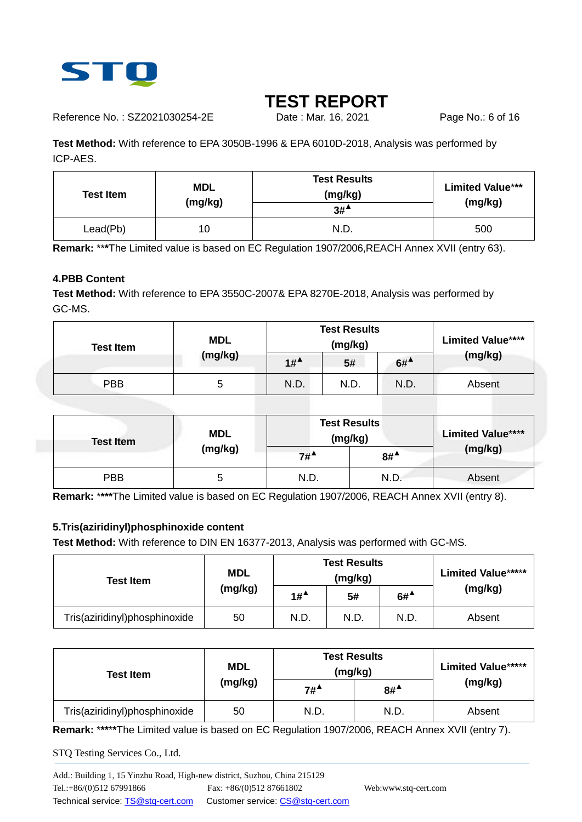

Reference No.: SZ2021030254-2E Date : Mar. 16, 2021 Page No.: 6 of 16

**Test Method:** With reference to EPA 3050B-1996 & EPA 6010D-2018, Analysis was performed by ICP-AES.

| <b>Test Item</b> | <b>MDL</b><br>(mg/kg) | <b>Test Results</b><br>(mg/kg)<br>$3#^4$ | <b>Limited Value***</b><br>(mg/kg) |
|------------------|-----------------------|------------------------------------------|------------------------------------|
| Lead(Pb)         | 10                    | N.D.                                     | 500                                |

**Remark:** \*\***\***The Limited value is based on EC Regulation 1907/2006,REACH Annex XVII (entry 63).

### **4.PBB Content**

**Test Method:** With reference to EPA 3550C-2007& EPA 8270E-2018, Analysis was performed by GC-MS.

| <b>Test Item</b> | <b>MDL</b> | <b>Test Results</b><br>(mg/kg) |      | <b>Limited Value****</b>               |         |
|------------------|------------|--------------------------------|------|----------------------------------------|---------|
|                  | (mg/kg)    | $1#^4$                         | 5#   | $6#$ <sup><math>\triangle</math></sup> | (mg/kg) |
| <b>PBB</b>       | 5          | N.D.                           | N.D. | N.D.                                   | Absent  |

| <b>Test Item</b> | <b>MDL</b> | <b>Test Results</b><br>(mg/kg) |                       | <b>Limited Value****</b> |
|------------------|------------|--------------------------------|-----------------------|--------------------------|
|                  | (mg/kg)    | $7#^4$                         | $8#^{\blacktriangle}$ | (mg/kg)                  |
| <b>PBB</b>       | ວ          | N.D.                           | N.D.                  | Absent                   |

**Remark:** \***\*\*\***The Limited value is based on EC Regulation 1907/2006, REACH Annex XVII (entry 8).

### **5.Tris(aziridinyl)phosphinoxide content**

**Test Method:** With reference to DIN EN 16377-2013, Analysis was performed with GC-MS.

| <b>Test Item</b>              | <b>MDL</b> | <b>Test Results</b><br>(mg/kg) |      |        | <b>Limited Value*****</b> |  |
|-------------------------------|------------|--------------------------------|------|--------|---------------------------|--|
|                               | (mg/kg)    | $1#^4$                         | 5#   | $6#^4$ | (mg/kg)                   |  |
| Tris(aziridinyl)phosphinoxide | 50         | N.D.                           | N.D. | N.D.   | Absent                    |  |

| <b>Test Item</b>              | <b>MDL</b> | <b>Test Results</b><br>(mg/kg)         | <b>Limited Value*****</b> |         |
|-------------------------------|------------|----------------------------------------|---------------------------|---------|
|                               | (mg/kg)    | $7#$ <sup><math>\triangle</math></sup> | $8#^4$                    | (mg/kg) |
| Tris(aziridinyl)phosphinoxide | 50         | N.D.                                   | N.D.                      | Absent  |

**Remark:** \***\*\***\***\***The Limited value is based on EC Regulation 1907/2006, REACH Annex XVII (entry 7).

STQ Testing Services Co., Ltd.

Add.: Building 1, 15 Yinzhu Road, High-new district, Suzhou, China 215129 Tel.:+86/(0)512 67991866 Fax: +86/(0)512 87661802 Web:www.stq-cert.com Technical service[: TS@stq-cert.com](mailto:TS@stq-cert.com)  Customer service: [CS@stq-cert.com](mailto:CS@stq-cert.com)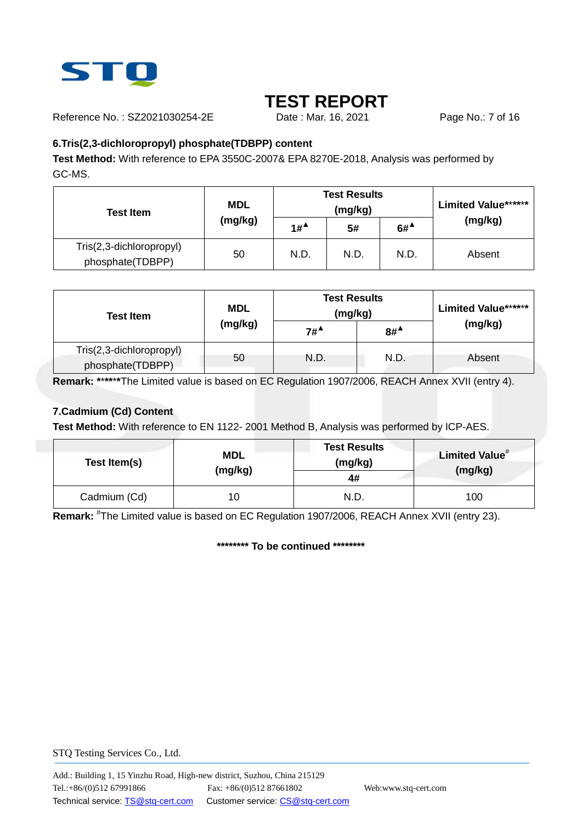

Reference No.: SZ2021030254-2E Date : Mar. 16, 2021 Page No.: 7 of 16

### **6.Tris(2,3-dichloropropyl) phosphate(TDBPP) content**

**Test Method:** With reference to EPA 3550C-2007& EPA 8270E-2018, Analysis was performed by GC-MS.

| <b>MDL</b><br><b>Test Item</b>               |         |        | <b>Test Results</b><br>(mg/kg) | <b>Limited Value******</b>             |         |
|----------------------------------------------|---------|--------|--------------------------------|----------------------------------------|---------|
|                                              | (mg/kg) | $1#^4$ | 5#                             | $6#$ <sup><math>\triangle</math></sup> | (mg/kg) |
| Tris(2,3-dichloropropyl)<br>phosphate(TDBPP) | 50      | N.D.   | N.D.                           | N.D.                                   | Absent  |

| <b>Test Item</b>                             | <b>MDL</b> | <b>Test Results</b><br>(mg/kg) |        |        |  | <b>Limited Value******</b><br>(mg/kg) |
|----------------------------------------------|------------|--------------------------------|--------|--------|--|---------------------------------------|
|                                              | (mg/kg)    | $7#^4$                         | $8#^4$ |        |  |                                       |
| Tris(2,3-dichloropropyl)<br>phosphate(TDBPP) | 50         | N.D.                           | N.D.   | Absent |  |                                       |

**Remark: \***\***\*\***\***\***The Limited value is based on EC Regulation 1907/2006, REACH Annex XVII (entry 4).

### **7.Cadmium (Cd) Content**

**Test Method:** With reference to EN 1122- 2001 Method B, Analysis was performed by ICP-AES.

| Test Item(s) | <b>MDL</b><br>(mg/kg) | <b>Test Results</b><br>(mg/kg)<br>4# | Limited Value <sup>#</sup><br>(mg/kg) |
|--------------|-----------------------|--------------------------------------|---------------------------------------|
| Cadmium (Cd) | 10                    | N.D.                                 | 100                                   |

**Remark:** # The Limited value is based on EC Regulation 1907/2006, REACH Annex XVII (entry 23).

**\*\*\*\*\*\*\*\* To be continued \*\*\*\*\*\*\*\***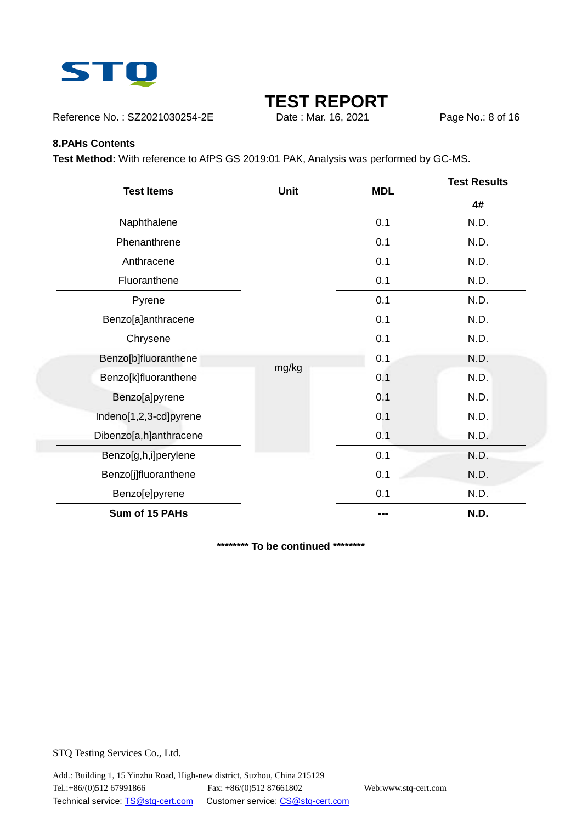

Reference No.: SZ2021030254-2E Date : Mar. 16, 2021 Page No.: 8 of 16

#### **8.PAHs Contents**

**Test Method:** With reference to AfPS GS 2019:01 PAK, Analysis was performed by GC-MS.

| <b>Test Items</b><br><b>Unit</b> |       | <b>MDL</b> | <b>Test Results</b> |
|----------------------------------|-------|------------|---------------------|
|                                  |       |            | 4#                  |
| Naphthalene                      |       | 0.1        | N.D.                |
| Phenanthrene                     |       | 0.1        | N.D.                |
| Anthracene                       |       | 0.1        | N.D.                |
| Fluoranthene                     |       | 0.1        | N.D.                |
| Pyrene                           |       | 0.1        | N.D.                |
| Benzo[a]anthracene               |       | 0.1        | N.D.                |
| Chrysene                         |       | 0.1        | N.D.                |
| Benzo[b]fluoranthene             |       | 0.1        | N.D.                |
| Benzo[k]fluoranthene             | mg/kg | 0.1        | N.D.                |
| Benzo[a]pyrene                   |       | 0.1        | N.D.                |
| Indeno[1,2,3-cd]pyrene           |       | 0.1        | N.D.                |
| Dibenzo[a,h]anthracene           |       | 0.1        | N.D.                |
| Benzo[g,h,i]perylene             |       | 0.1        | N.D.                |
| Benzo[j]fluoranthene             |       | 0.1        | N.D.                |
| Benzo[e]pyrene                   |       | 0.1        | N.D.                |
| Sum of 15 PAHs                   |       |            | N.D.                |

**\*\*\*\*\*\*\*\* To be continued \*\*\*\*\*\*\*\***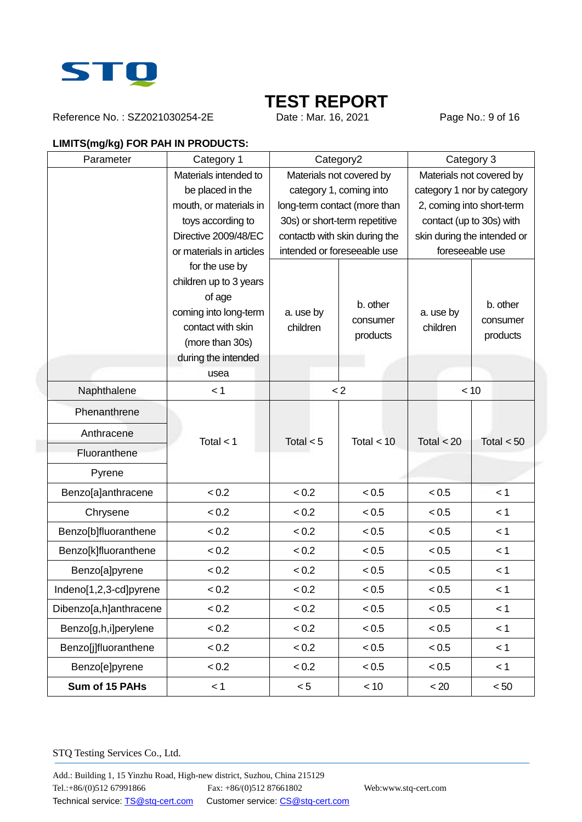

Reference No.: SZ2021030254-2E Date : Mar. 16, 2021 Page No.: 9 of 16

## **LIMITS(mg/kg) FOR PAH IN PRODUCTS:**

| Parameter              | Category 1                      | Category2                |                               | Category 3                  |                           |  |
|------------------------|---------------------------------|--------------------------|-------------------------------|-----------------------------|---------------------------|--|
|                        | Materials intended to           | Materials not covered by |                               | Materials not covered by    |                           |  |
|                        | be placed in the                | category 1, coming into  |                               | category 1 nor by category  |                           |  |
|                        | mouth, or materials in          |                          | long-term contact (more than  |                             | 2, coming into short-term |  |
|                        | toys according to               |                          | 30s) or short-term repetitive | contact (up to 30s) with    |                           |  |
|                        | Directive 2009/48/EC            |                          | contactb with skin during the | skin during the intended or |                           |  |
|                        | or materials in articles        |                          | intended or foreseeable use   | foreseeable use             |                           |  |
|                        | for the use by                  |                          |                               |                             |                           |  |
|                        | children up to 3 years          |                          |                               |                             |                           |  |
|                        | of age<br>coming into long-term | a. use by                | b. other                      | a. use by                   | b. other                  |  |
|                        | contact with skin               | children                 | consumer                      | children                    | consumer                  |  |
|                        | (more than 30s)                 |                          | products                      |                             | products                  |  |
|                        | during the intended             |                          |                               |                             |                           |  |
|                        | usea                            |                          |                               |                             |                           |  |
| Naphthalene            | < 1                             | $\lt 2$                  |                               | < 10                        |                           |  |
| Phenanthrene           |                                 |                          |                               |                             |                           |  |
| Anthracene             | Total $<$ 1                     | Total $<$ 5              | Total $<$ 10                  | Total $<$ 20                | Total $< 50$              |  |
| Fluoranthene           |                                 |                          |                               |                             |                           |  |
| Pyrene                 |                                 |                          |                               |                             |                           |  |
| Benzo[a]anthracene     | < 0.2                           | < 0.2                    | < 0.5                         | < 0.5                       | < 1                       |  |
| Chrysene               | < 0.2                           | < 0.2                    | < 0.5                         | < 0.5                       | < 1                       |  |
| Benzo[b]fluoranthene   | < 0.2                           | < 0.2                    | < 0.5                         | < 0.5                       | < 1                       |  |
| Benzo[k]fluoranthene   | < 0.2                           | < 0.2                    | < 0.5                         | < 0.5                       | < 1                       |  |
| Benzo[a]pyrene         | < 0.2                           | < 0.2                    | < 0.5                         | < 0.5                       | < 1                       |  |
| Indeno[1,2,3-cd]pyrene | < 0.2                           | < 0.2                    | < 0.5                         | < 0.5                       | < 1                       |  |
| Dibenzo[a,h]anthracene | < 0.2                           | < 0.2                    | < 0.5                         | < 0.5                       | < 1                       |  |
| Benzo[g,h,i]perylene   | < 0.2                           | < 0.2                    | < 0.5                         | < 0.5                       | < 1                       |  |
| Benzo[j]fluoranthene   | < 0.2                           | < 0.2                    | < 0.5                         | < 0.5                       | < 1                       |  |
| Benzo[e]pyrene         | < 0.2                           | < 0.2                    | < 0.5                         | < 0.5                       | < 1                       |  |
| Sum of 15 PAHs         | < 1                             | < 5                      | < 10                          | < 20                        | < 50                      |  |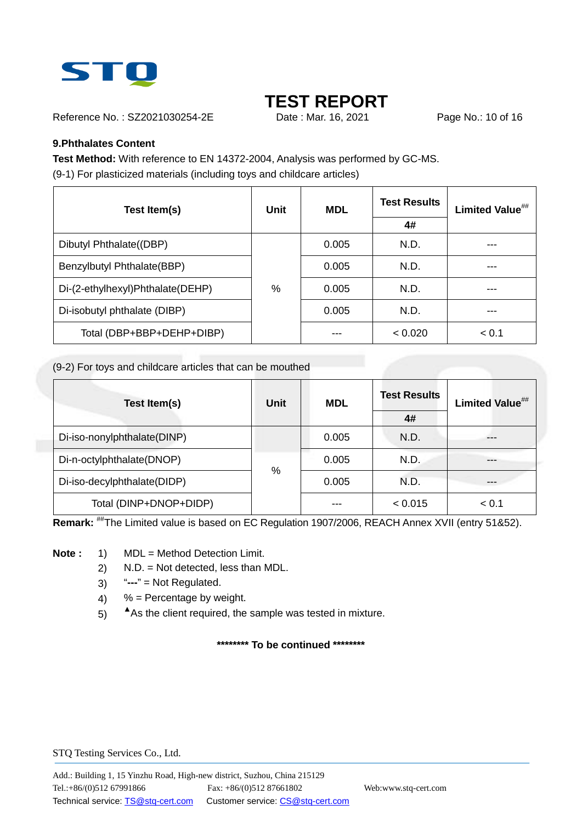

Reference No.: SZ2021030254-2E Date: Mar. 16, 2021 Page No.: 10 of 16

### **9.Phthalates Content**

**Test Method:** With reference to EN 14372-2004, Analysis was performed by GC-MS. (9-1) For plasticized materials (including toys and childcare articles)

| Test Item(s)                     | Unit | <b>MDL</b> | <b>Test Results</b> | Limited Value## |  |
|----------------------------------|------|------------|---------------------|-----------------|--|
|                                  |      |            | 4#                  |                 |  |
| Dibutyl Phthalate((DBP)          |      | 0.005      | N.D.                |                 |  |
| Benzylbutyl Phthalate(BBP)       |      | 0.005      | N.D.                |                 |  |
| Di-(2-ethylhexyl)Phthalate(DEHP) | $\%$ | 0.005      | N.D.                |                 |  |
| Di-isobutyl phthalate (DIBP)     |      | 0.005      | N.D.                |                 |  |
| Total (DBP+BBP+DEHP+DIBP)        |      | ---        | < 0.020             | < 0.1           |  |

(9-2) For toys and childcare articles that can be mouthed

| Test Item(s)                | Unit | <b>MDL</b> | <b>Test Results</b><br>4# | Limited Value <sup>##</sup> |
|-----------------------------|------|------------|---------------------------|-----------------------------|
| Di-iso-nonylphthalate(DINP) |      | 0.005      | N.D.                      |                             |
| Di-n-octylphthalate(DNOP)   |      | 0.005      | N.D.                      |                             |
| Di-iso-decylphthalate(DIDP) | %    | 0.005      | N.D.                      |                             |
| Total (DINP+DNOP+DIDP)      |      |            | < 0.015                   | < 0.1                       |

**Remark:** ##The Limited value is based on EC Regulation 1907/2006, REACH Annex XVII (entry 51&52).

**Note :** 1) MDL = Method Detection Limit.

- 2) N.D. = Not detected, less than MDL.
- 3) "**---**" = Not Regulated.
- 4)  $%$  = Percentage by weight.
- 5) **▲**As the client required, the sample was tested in mixture.

**\*\*\*\*\*\*\*\* To be continued \*\*\*\*\*\*\*\***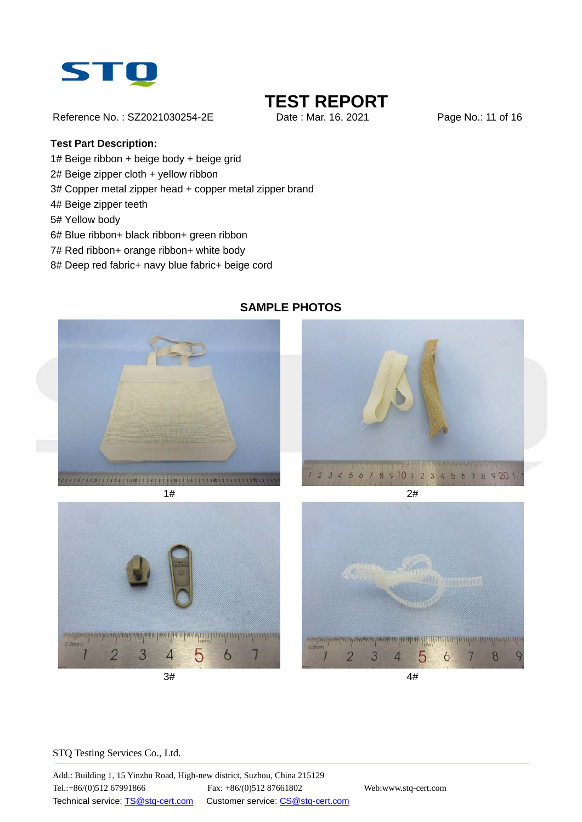

Reference No.: SZ2021030254-2E Date: Mar. 16, 2021 Page No.: 11 of 16

### **Test Part Description:**

- 1# Beige ribbon + beige body + beige grid
- 2# Beige zipper cloth + yellow ribbon
- 3# Copper metal zipper head + copper metal zipper brand
- 4# Beige zipper teeth
- 5# Yellow body
- 6# Blue ribbon+ black ribbon+ green ribbon
- 7# Red ribbon+ orange ribbon+ white body
- 8# Deep red fabric+ navy blue fabric+ beige cord



### **SAMPLE PHOTOS**







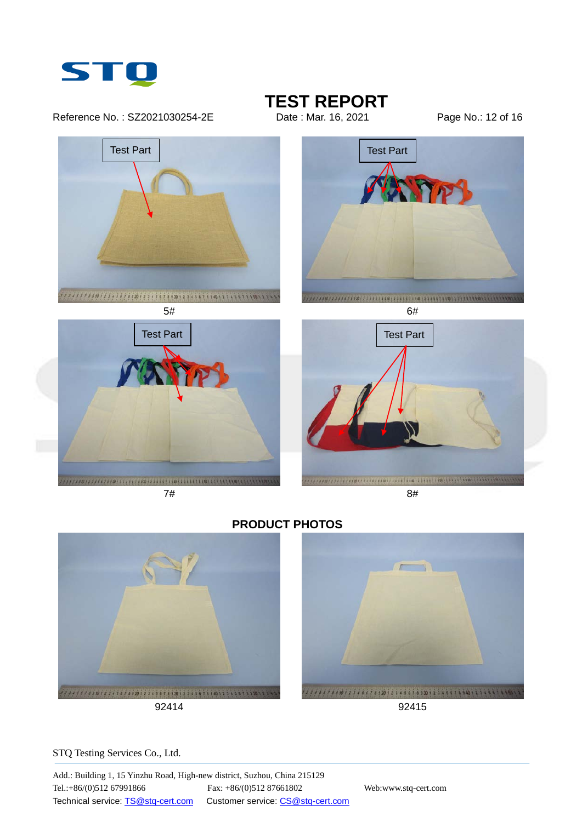

Reference No.: SZ2021030254-2E Date: Mar. 16, 2021 Page No.: 12 of 16

**TEST REPORT**<br>Date : Mar. 16, 2021



**PRODUCT PHOTOS**



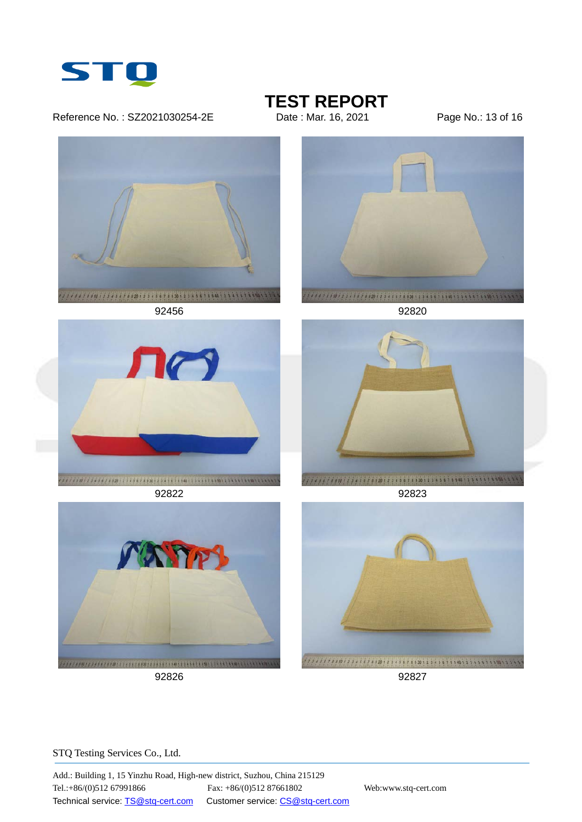

#### Reference No.: SZ2021030254-2E Date: Mar. 16, 2021 Page No.: 13 of 16

**TEST REPORT**<br>Date : Mar. 16, 2021



92826 92827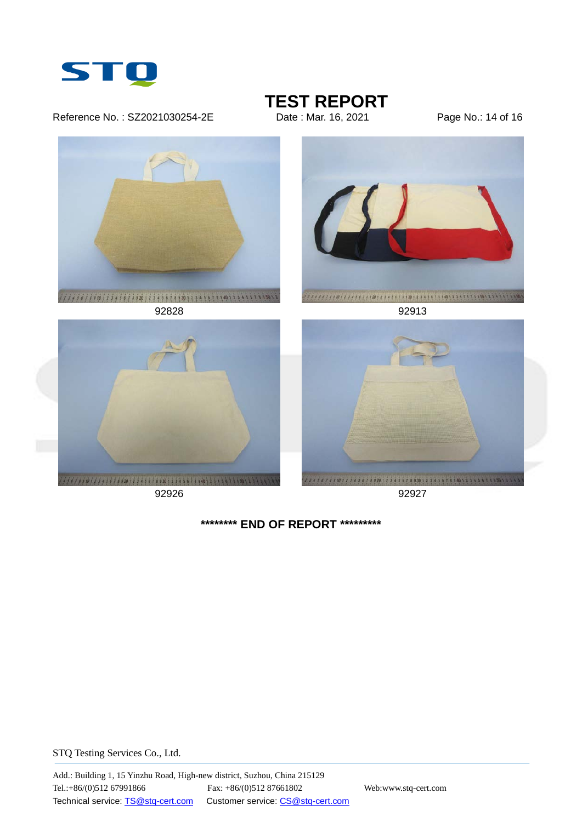

Reference No.: SZ2021030254-2E Date: Mar. 16, 2021 Page No.: 14 of 16

**TEST REPORT**<br>Date : Mar. 16, 2021







92926 92927





**\*\*\*\*\*\*\*\* END OF REPORT \*\*\*\*\*\*\*\*\***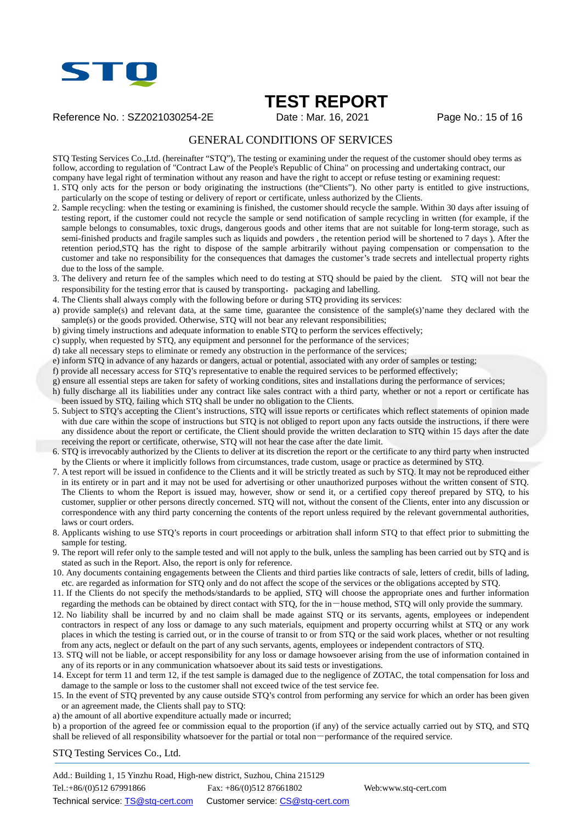

Reference No.: SZ2021030254-2E Date : Mar. 16, 2021 Page No.: 15 of 16

#### GENERAL CONDITIONS OF SERVICES

STQ Testing Services Co.,Ltd. (hereinafter "STQ"), The testing or examining under the request of the customer should obey terms as follow, according to regulation of "Contract Law of the People's Republic of China" on processing and undertaking contract, our company have legal right of termination without any reason and have the right to accept or refuse testing or examining request:

1. STQ only acts for the person or body originating the instructions (the"Clients"). No other party is entitled to give instructions, particularly on the scope of testing or delivery of report or certificate, unless authorized by the Clients.

- 2. Sample recycling: when the testing or examining is finished, the customer should recycle the sample. Within 30 days after issuing of testing report, if the customer could not recycle the sample or send notification of sample recycling in written (for example, if the sample belongs to consumables, toxic drugs, dangerous goods and other items that are not suitable for long-term storage, such as semi-finished products and fragile samples such as liquids and powders , the retention period will be shortened to 7 days ). After the retention period,STQ has the right to dispose of the sample arbitrarily without paying compensation or compensation to the customer and take no responsibility for the consequences that damages the customer's trade secrets and intellectual property rights due to the loss of the sample.
- 3. The delivery and return fee of the samples which need to do testing at STQ should be paied by the client. STQ will not bear the responsibility for the testing error that is caused by transporting, packaging and labelling.
- 4. The Clients shall always comply with the following before or during STQ providing its services:
- a) provide sample(s) and relevant data, at the same time, guarantee the consistence of the sample(s)'name they declared with the sample(s) or the goods provided. Otherwise, STQ will not bear any relevant responsibilities;
- b) giving timely instructions and adequate information to enable STQ to perform the services effectively;
- c) supply, when requested by STQ, any equipment and personnel for the performance of the services;
- d) take all necessary steps to eliminate or remedy any obstruction in the performance of the services;
- e) inform STQ in advance of any hazards or dangers, actual or potential, associated with any order of samples or testing;
- f) provide all necessary access for STQ's representative to enable the required services to be performed effectively;
- g) ensure all essential steps are taken for safety of working conditions, sites and installations during the performance of services;
- h) fully discharge all its liabilities under any contract like sales contract with a third party, whether or not a report or certificate has been issued by STQ, failing which STQ shall be under no obligation to the Clients.
- 5. Subject to STQ's accepting the Client's instructions, STQ will issue reports or certificates which reflect statements of opinion made with due care within the scope of instructions but STQ is not obliged to report upon any facts outside the instructions, if there were any dissidence about the report or certificate, the Client should provide the written declaration to STQ within 15 days after the date receiving the report or certificate, otherwise, STQ will not hear the case after the date limit.
- 6. STQ is irrevocably authorized by the Clients to deliver at its discretion the report or the certificate to any third party when instructed by the Clients or where it implicitly follows from circumstances, trade custom, usage or practice as determined by STQ.
- 7. A test report will be issued in confidence to the Clients and it will be strictly treated as such by STQ. It may not be reproduced either in its entirety or in part and it may not be used for advertising or other unauthorized purposes without the written consent of STQ. The Clients to whom the Report is issued may, however, show or send it, or a certified copy thereof prepared by STQ, to his customer, supplier or other persons directly concerned. STQ will not, without the consent of the Clients, enter into any discussion or correspondence with any third party concerning the contents of the report unless required by the relevant governmental authorities, laws or court orders.
- 8. Applicants wishing to use STQ's reports in court proceedings or arbitration shall inform STQ to that effect prior to submitting the sample for testing.
- 9. The report will refer only to the sample tested and will not apply to the bulk, unless the sampling has been carried out by STQ and is stated as such in the Report. Also, the report is only for reference.
- 10. Any documents containing engagements between the Clients and third parties like contracts of sale, letters of credit, bills of lading, etc. are regarded as information for STQ only and do not affect the scope of the services or the obligations accepted by STQ.
- 11. If the Clients do not specify the methods/standards to be applied, STQ will choose the appropriate ones and further information regarding the methods can be obtained by direct contact with STQ, for the in-house method, STQ will only provide the summary.
- 12. No liability shall be incurred by and no claim shall be made against STQ or its servants, agents, employees or independent contractors in respect of any loss or damage to any such materials, equipment and property occurring whilst at STQ or any work places in which the testing is carried out, or in the course of transit to or from STQ or the said work places, whether or not resulting from any acts, neglect or default on the part of any such servants, agents, employees or independent contractors of STQ.
- 13. STQ will not be liable, or accept responsibility for any loss or damage howsoever arising from the use of information contained in any of its reports or in any communication whatsoever about its said tests or investigations.
- 14. Except for term 11 and term 12, if the test sample is damaged due to the negligence of ZOTAC, the total compensation for loss and damage to the sample or loss to the customer shall not exceed twice of the test service fee.
- 15. In the event of STQ prevented by any cause outside STQ's control from performing any service for which an order has been given or an agreement made, the Clients shall pay to STQ:
- a) the amount of all abortive expenditure actually made or incurred;

b) a proportion of the agreed fee or commission equal to the proportion (if any) of the service actually carried out by STQ, and STQ shall be relieved of all responsibility whatsoever for the partial or total non-performance of the required service.

STQ Testing Services Co., Ltd.

Add.: Building 1, 15 Yinzhu Road, High-new district, Suzhou, China 215129 Tel.:+86/(0)512 67991866 Fax: +86/(0)512 87661802 Web:www.stq-cert.com Technical service[: TS@stq-cert.com](mailto:TS@stq-cert.com) Customer service: [CS@stq-cert.com](mailto:CS@stq-cert.com)